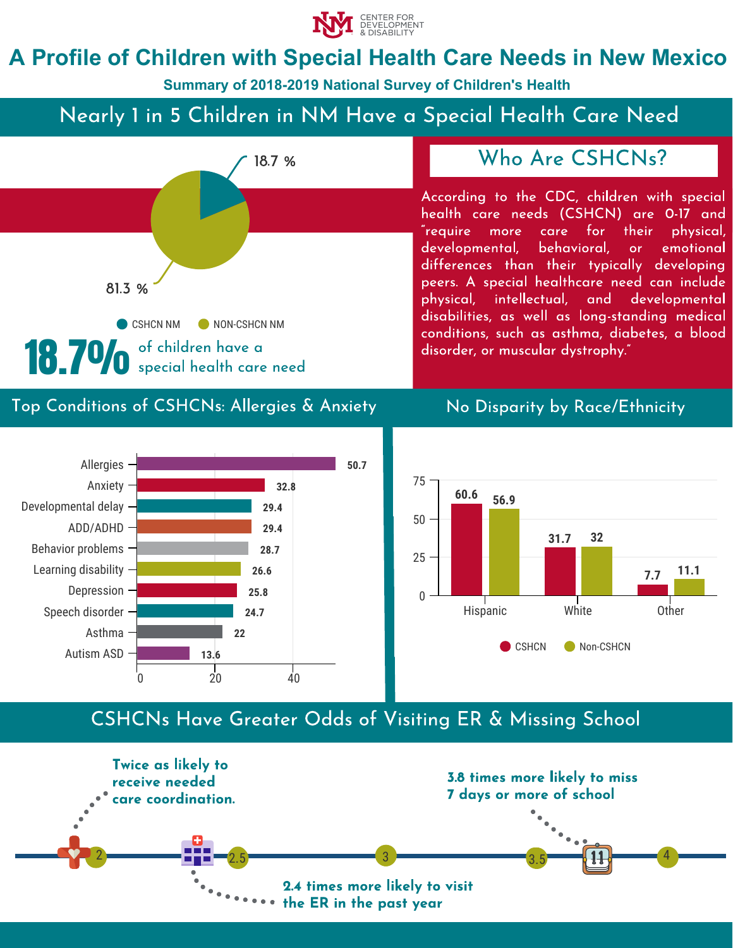

# **A Profile of Children with Special Health Care Needs in New Mexico**

**Summary of 2018-2019 National Survey of Children's Health**

# Nearly 1 in 5 Children in NM Have a Special Health Care Need



## Who Are CSHCNs?

According to the CDC, children with special health care needs (CSHCN) are 0-17 and "require more care for their physical, developmental, behavioral, or emotional differences than their typically developing peers. A special healthcare need can include physical, intellectual, and developmental disabilities, as well as long-standing medical conditions, such as asthma, diabetes, a blood disorder, or muscular dystrophy."

#### Top Conditions of CSHCNs: Allergies & Anxiety No Disparity by Race/Ethnicity





## CSHCNs Have Greater Odds of Visiting ER & Missing School